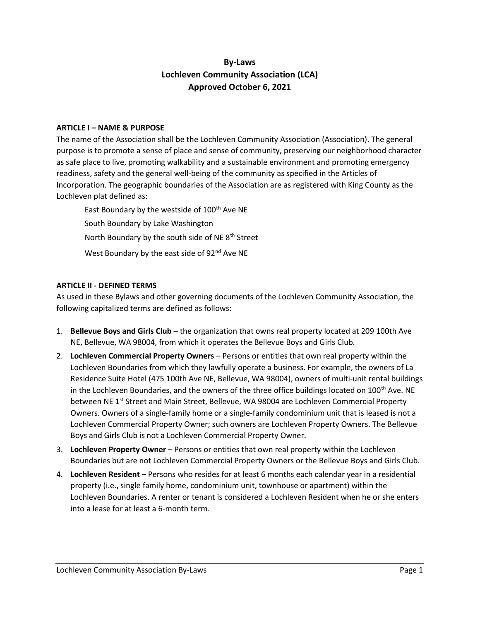# By-Laws Lochleven Community Association (LCA) Approved October 6, 2021

### ARTICLE I – NAME & PURPOSE

The name of the Association shall be the Lochleven Community Association (Association). The general purpose is to promote a sense of place and sense of community, preserving our neighborhood character as safe place to live, promoting walkability and a sustainable environment and promoting emergency readiness, safety and the general well-being of the community as specified in the Articles of Incorporation. The geographic boundaries of the Association are as registered with King County as the Lochleven plat defined as:

East Boundary by the westside of 100<sup>th</sup> Ave NE South Boundary by Lake Washington North Boundary by the south side of NE 8<sup>th</sup> Street West Boundary by the east side of 92<sup>nd</sup> Ave NE

### ARTICLE II - DEFINED TERMS

As used in these Bylaws and other governing documents of the Lochleven Community Association, the following capitalized terms are defined as follows:

- 1. Bellevue Boys and Girls Club the organization that owns real property located at 209 100th Ave NE, Bellevue, WA 98004, from which it operates the Bellevue Boys and Girls Club.
- 2. Lochleven Commercial Property Owners Persons or entitles that own real property within the Lochleven Boundaries from which they lawfully operate a business. For example, the owners of La Residence Suite Hotel (475 100th Ave NE, Bellevue, WA 98004), owners of multi-unit rental buildings in the Lochleven Boundaries, and the owners of the three office buildings located on  $100^{th}$  Ave. NE between NE 1<sup>st</sup> Street and Main Street, Bellevue, WA 98004 are Lochleven Commercial Property Owners. Owners of a single-family home or a single-family condominium unit that is leased is not a Lochleven Commercial Property Owner; such owners are Lochleven Property Owners. The Bellevue Boys and Girls Club is not a Lochleven Commercial Property Owner.
- 3. Lochleven Property Owner Persons or entities that own real property within the Lochleven Boundaries but are not Lochleven Commercial Property Owners or the Bellevue Boys and Girls Club.
- 4. Lochleven Resident Persons who resides for at least 6 months each calendar year in a residential property (i.e., single family home, condominium unit, townhouse or apartment) within the Lochleven Boundaries. A renter or tenant is considered a Lochleven Resident when he or she enters into a lease for at least a 6-month term.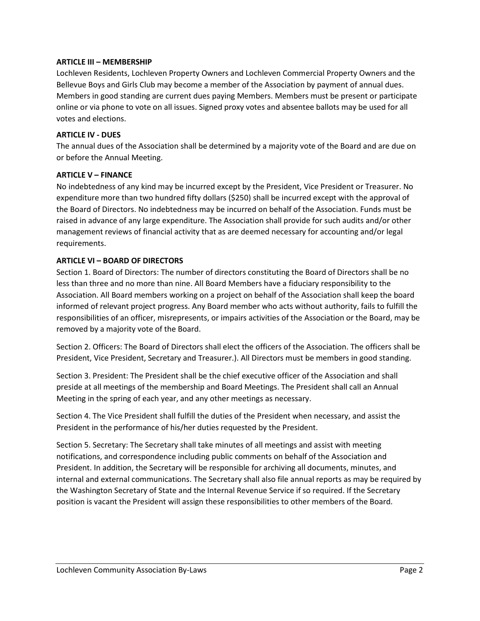### ARTICLE III – MEMBERSHIP

Lochleven Residents, Lochleven Property Owners and Lochleven Commercial Property Owners and the Bellevue Boys and Girls Club may become a member of the Association by payment of annual dues. Members in good standing are current dues paying Members. Members must be present or participate online or via phone to vote on all issues. Signed proxy votes and absentee ballots may be used for all votes and elections.

### ARTICLE IV - DUES

The annual dues of the Association shall be determined by a majority vote of the Board and are due on or before the Annual Meeting.

## ARTICLE V – FINANCE

No indebtedness of any kind may be incurred except by the President, Vice President or Treasurer. No expenditure more than two hundred fifty dollars (\$250) shall be incurred except with the approval of the Board of Directors. No indebtedness may be incurred on behalf of the Association. Funds must be raised in advance of any large expenditure. The Association shall provide for such audits and/or other management reviews of financial activity that as are deemed necessary for accounting and/or legal requirements.

## ARTICLE VI – BOARD OF DIRECTORS

Section 1. Board of Directors: The number of directors constituting the Board of Directors shall be no less than three and no more than nine. All Board Members have a fiduciary responsibility to the Association. All Board members working on a project on behalf of the Association shall keep the board informed of relevant project progress. Any Board member who acts without authority, fails to fulfill the responsibilities of an officer, misrepresents, or impairs activities of the Association or the Board, may be removed by a majority vote of the Board.

Section 2. Officers: The Board of Directors shall elect the officers of the Association. The officers shall be President, Vice President, Secretary and Treasurer.). All Directors must be members in good standing.

Section 3. President: The President shall be the chief executive officer of the Association and shall preside at all meetings of the membership and Board Meetings. The President shall call an Annual Meeting in the spring of each year, and any other meetings as necessary.

Section 4. The Vice President shall fulfill the duties of the President when necessary, and assist the President in the performance of his/her duties requested by the President.

Section 5. Secretary: The Secretary shall take minutes of all meetings and assist with meeting notifications, and correspondence including public comments on behalf of the Association and President. In addition, the Secretary will be responsible for archiving all documents, minutes, and internal and external communications. The Secretary shall also file annual reports as may be required by the Washington Secretary of State and the Internal Revenue Service if so required. If the Secretary position is vacant the President will assign these responsibilities to other members of the Board.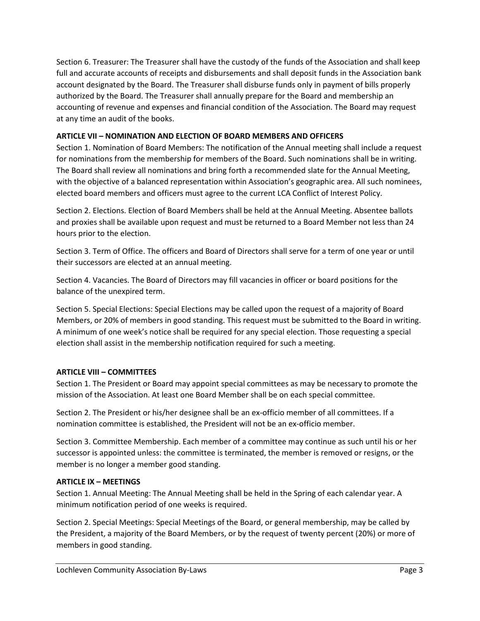Section 6. Treasurer: The Treasurer shall have the custody of the funds of the Association and shall keep full and accurate accounts of receipts and disbursements and shall deposit funds in the Association bank account designated by the Board. The Treasurer shall disburse funds only in payment of bills properly authorized by the Board. The Treasurer shall annually prepare for the Board and membership an accounting of revenue and expenses and financial condition of the Association. The Board may request at any time an audit of the books.

# ARTICLE VII – NOMINATION AND ELECTION OF BOARD MEMBERS AND OFFICERS

Section 1. Nomination of Board Members: The notification of the Annual meeting shall include a request for nominations from the membership for members of the Board. Such nominations shall be in writing. The Board shall review all nominations and bring forth a recommended slate for the Annual Meeting, with the objective of a balanced representation within Association's geographic area. All such nominees, elected board members and officers must agree to the current LCA Conflict of Interest Policy.

Section 2. Elections. Election of Board Members shall be held at the Annual Meeting. Absentee ballots and proxies shall be available upon request and must be returned to a Board Member not less than 24 hours prior to the election.

Section 3. Term of Office. The officers and Board of Directors shall serve for a term of one year or until their successors are elected at an annual meeting.

Section 4. Vacancies. The Board of Directors may fill vacancies in officer or board positions for the balance of the unexpired term.

Section 5. Special Elections: Special Elections may be called upon the request of a majority of Board Members, or 20% of members in good standing. This request must be submitted to the Board in writing. A minimum of one week's notice shall be required for any special election. Those requesting a special election shall assist in the membership notification required for such a meeting.

# ARTICLE VIII – COMMITTEES

Section 1. The President or Board may appoint special committees as may be necessary to promote the mission of the Association. At least one Board Member shall be on each special committee.

Section 2. The President or his/her designee shall be an ex-officio member of all committees. If a nomination committee is established, the President will not be an ex-officio member.

Section 3. Committee Membership. Each member of a committee may continue as such until his or her successor is appointed unless: the committee is terminated, the member is removed or resigns, or the member is no longer a member good standing.

# ARTICLE IX – MEETINGS

Section 1. Annual Meeting: The Annual Meeting shall be held in the Spring of each calendar year. A minimum notification period of one weeks is required.

Section 2. Special Meetings: Special Meetings of the Board, or general membership, may be called by the President, a majority of the Board Members, or by the request of twenty percent (20%) or more of members in good standing.